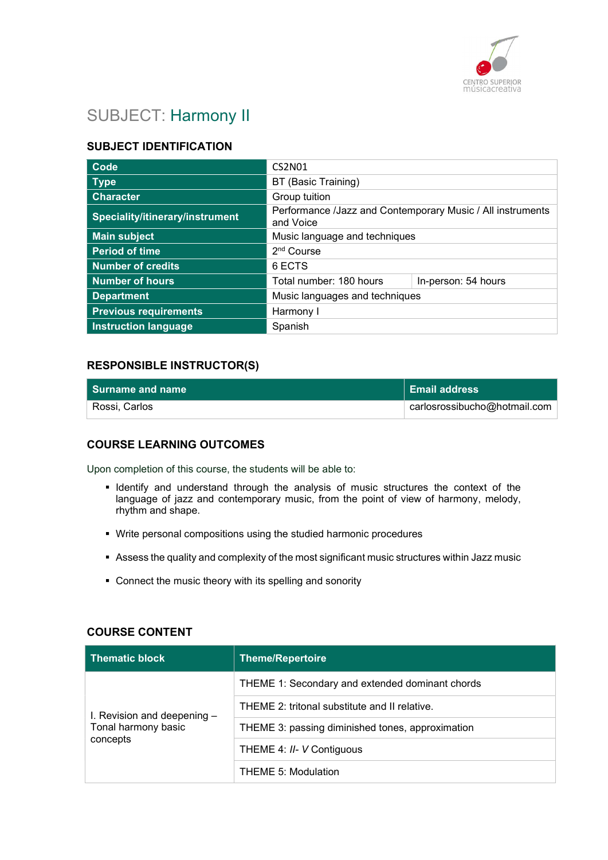

# SUBJECT: Harmony II

# SUBJECT IDENTIFICATION

| Code                            | <b>CS2N01</b>                                                           |                     |
|---------------------------------|-------------------------------------------------------------------------|---------------------|
| <b>Type</b>                     | BT (Basic Training)                                                     |                     |
| <b>Character</b>                | Group tuition                                                           |                     |
| Speciality/itinerary/instrument | Performance /Jazz and Contemporary Music / All instruments<br>and Voice |                     |
| <b>Main subject</b>             | Music language and techniques                                           |                     |
| <b>Period of time</b>           | 2 <sup>nd</sup> Course                                                  |                     |
| <b>Number of credits</b>        | 6 ECTS                                                                  |                     |
| <b>Number of hours</b>          | Total number: 180 hours                                                 | In-person: 54 hours |
| <b>Department</b>               | Music languages and techniques                                          |                     |
| <b>Previous requirements</b>    | Harmony I                                                               |                     |
| <b>Instruction language</b>     | Spanish                                                                 |                     |

## RESPONSIBLE INSTRUCTOR(S)

| Surname and name | Email address                |
|------------------|------------------------------|
| Rossi, Carlos    | carlosrossibucho@hotmail.com |

# COURSE LEARNING OUTCOMES

Upon completion of this course, the students will be able to:

- **IDENTIFY** and understand through the analysis of music structures the context of the language of jazz and contemporary music, from the point of view of harmony, melody, rhythm and shape.
- Write personal compositions using the studied harmonic procedures
- Assess the quality and complexity of the most significant music structures within Jazz music
- Connect the music theory with its spelling and sonority

## COURSE CONTENT

| <b>Thematic block</b>                                          | Theme/Repertoire                                 |
|----------------------------------------------------------------|--------------------------------------------------|
| I. Revision and deepening -<br>Tonal harmony basic<br>concepts | THEME 1: Secondary and extended dominant chords  |
|                                                                | THEME 2: tritonal substitute and II relative.    |
|                                                                | THEME 3: passing diminished tones, approximation |
|                                                                | THEME 4: II- V Contiguous                        |
|                                                                | <b>THEME 5: Modulation</b>                       |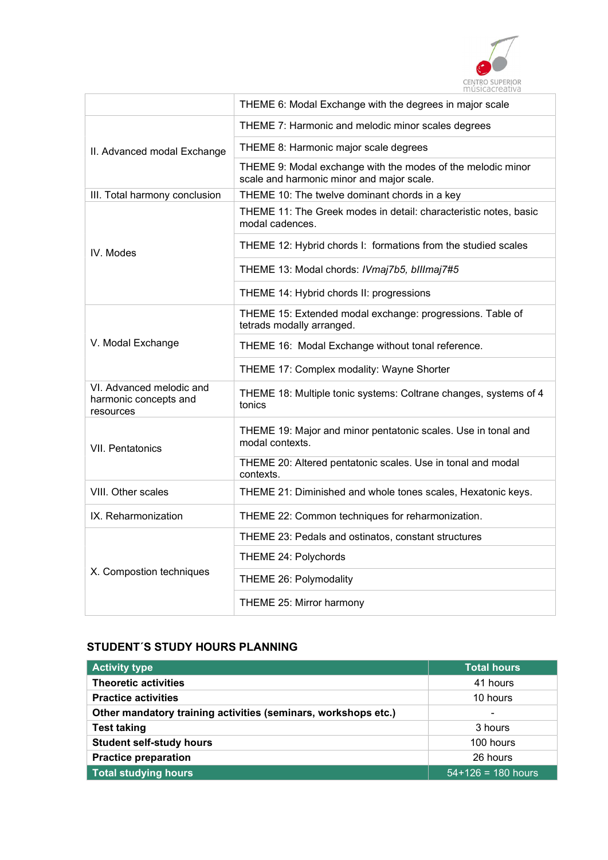

|                                                                | THEME 6: Modal Exchange with the degrees in major scale                                                  |
|----------------------------------------------------------------|----------------------------------------------------------------------------------------------------------|
|                                                                | THEME 7: Harmonic and melodic minor scales degrees                                                       |
| II. Advanced modal Exchange                                    | THEME 8: Harmonic major scale degrees                                                                    |
|                                                                | THEME 9: Modal exchange with the modes of the melodic minor<br>scale and harmonic minor and major scale. |
| III. Total harmony conclusion                                  | THEME 10: The twelve dominant chords in a key                                                            |
|                                                                | THEME 11: The Greek modes in detail: characteristic notes, basic<br>modal cadences.                      |
| IV. Modes                                                      | THEME 12: Hybrid chords I: formations from the studied scales                                            |
|                                                                | THEME 13: Modal chords: IVmaj7b5, billmaj7#5                                                             |
|                                                                | THEME 14: Hybrid chords II: progressions                                                                 |
| V. Modal Exchange                                              | THEME 15: Extended modal exchange: progressions. Table of<br>tetrads modally arranged.                   |
|                                                                | THEME 16: Modal Exchange without tonal reference.                                                        |
|                                                                | THEME 17: Complex modality: Wayne Shorter                                                                |
| VI. Advanced melodic and<br>harmonic concepts and<br>resources | THEME 18: Multiple tonic systems: Coltrane changes, systems of 4<br>tonics                               |
| <b>VII. Pentatonics</b>                                        | THEME 19: Major and minor pentatonic scales. Use in tonal and<br>modal contexts.                         |
|                                                                | THEME 20: Altered pentatonic scales. Use in tonal and modal<br>contexts.                                 |
| VIII. Other scales                                             | THEME 21: Diminished and whole tones scales, Hexatonic keys.                                             |
| IX. Reharmonization                                            | THEME 22: Common techniques for reharmonization.                                                         |
|                                                                | THEME 23: Pedals and ostinatos, constant structures                                                      |
|                                                                | THEME 24: Polychords                                                                                     |
| X. Compostion techniques                                       | THEME 26: Polymodality                                                                                   |
|                                                                | THEME 25: Mirror harmony                                                                                 |

# STUDENT´S STUDY HOURS PLANNING

| <b>Activity type</b>                                           | <b>Total hours</b>       |
|----------------------------------------------------------------|--------------------------|
|                                                                |                          |
| <b>Theoretic activities</b>                                    | 41 hours                 |
| <b>Practice activities</b>                                     | 10 hours                 |
| Other mandatory training activities (seminars, workshops etc.) | $\overline{\phantom{0}}$ |
| <b>Test taking</b>                                             | 3 hours                  |
| <b>Student self-study hours</b>                                | 100 hours                |
| <b>Practice preparation</b>                                    | 26 hours                 |
| <b>Total studying hours</b>                                    | $54+126 = 180$ hours     |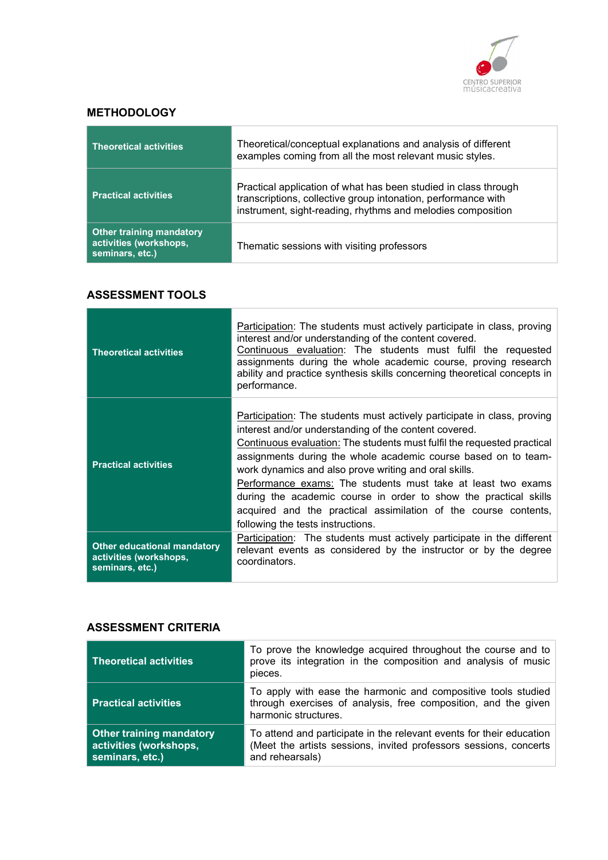

## **METHODOLOGY**

| <b>Theoretical activities</b>                                                | Theoretical/conceptual explanations and analysis of different<br>examples coming from all the most relevant music styles.                                                                       |
|------------------------------------------------------------------------------|-------------------------------------------------------------------------------------------------------------------------------------------------------------------------------------------------|
| <b>Practical activities</b>                                                  | Practical application of what has been studied in class through<br>transcriptions, collective group intonation, performance with<br>instrument, sight-reading, rhythms and melodies composition |
| <b>Other training mandatory</b><br>activities (workshops,<br>seminars, etc.) | Thematic sessions with visiting professors                                                                                                                                                      |

# ASSESSMENT TOOLS

| <b>Theoretical activities</b>                                                   | Participation: The students must actively participate in class, proving<br>interest and/or understanding of the content covered.<br>Continuous evaluation: The students must fulfil the requested<br>assignments during the whole academic course, proving research<br>ability and practice synthesis skills concerning theoretical concepts in<br>performance.                                                                                                                                                                                                                    |
|---------------------------------------------------------------------------------|------------------------------------------------------------------------------------------------------------------------------------------------------------------------------------------------------------------------------------------------------------------------------------------------------------------------------------------------------------------------------------------------------------------------------------------------------------------------------------------------------------------------------------------------------------------------------------|
| <b>Practical activities</b>                                                     | Participation: The students must actively participate in class, proving<br>interest and/or understanding of the content covered.<br>Continuous evaluation: The students must fulfil the requested practical<br>assignments during the whole academic course based on to team-<br>work dynamics and also prove writing and oral skills.<br>Performance exams: The students must take at least two exams<br>during the academic course in order to show the practical skills<br>acquired and the practical assimilation of the course contents,<br>following the tests instructions. |
| <b>Other educational mandatory</b><br>activities (workshops,<br>seminars, etc.) | Participation: The students must actively participate in the different<br>relevant events as considered by the instructor or by the degree<br>coordinators.                                                                                                                                                                                                                                                                                                                                                                                                                        |

## ASSESSMENT CRITERIA

| <b>Theoretical activities</b>                                                | To prove the knowledge acquired throughout the course and to<br>prove its integration in the composition and analysis of music<br>pieces.                    |
|------------------------------------------------------------------------------|--------------------------------------------------------------------------------------------------------------------------------------------------------------|
| <b>Practical activities</b>                                                  | To apply with ease the harmonic and compositive tools studied<br>through exercises of analysis, free composition, and the given<br>harmonic structures.      |
| <b>Other training mandatory</b><br>activities (workshops,<br>seminars, etc.) | To attend and participate in the relevant events for their education<br>(Meet the artists sessions, invited professors sessions, concerts<br>and rehearsals) |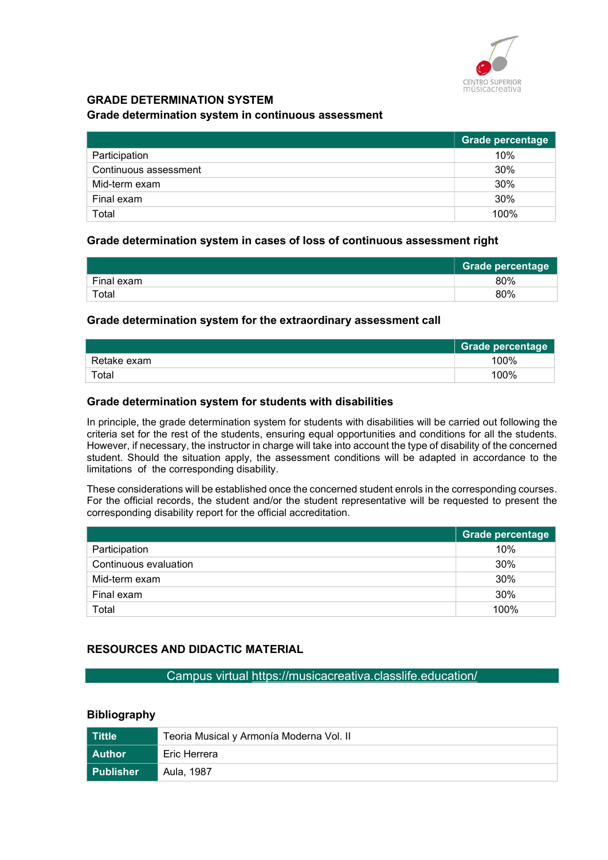

# GRADE DETERMINATION SYSTEM

#### Grade determination system in continuous assessment

|                       | Grade percentage |
|-----------------------|------------------|
| Participation         | 10%              |
| Continuous assessment | 30%              |
| Mid-term exam         | 30%              |
| Final exam            | 30%              |
| Total                 | 100%             |

### Grade determination system in cases of loss of continuous assessment right

|            | <b>Grade percentage</b> |
|------------|-------------------------|
| Final exam | 80%                     |
| Total      | 80%                     |

### Grade determination system for the extraordinary assessment call

|             | <b>Grade percentage</b> |
|-------------|-------------------------|
| Retake exam | 100%                    |
| Total       | 100%                    |

#### Grade determination system for students with disabilities

In principle, the grade determination system for students with disabilities will be carried out following the criteria set for the rest of the students, ensuring equal opportunities and conditions for all the students. However, if necessary, the instructor in charge will take into account the type of disability of the concerned student. Should the situation apply, the assessment conditions will be adapted in accordance to the limitations of the corresponding disability.

These considerations will be established once the concerned student enrols in the corresponding courses. For the official records, the student and/or the student representative will be requested to present the corresponding disability report for the official accreditation.

|                       | <b>Grade percentage</b> |
|-----------------------|-------------------------|
| Participation         | 10%                     |
| Continuous evaluation | 30%                     |
| Mid-term exam         | 30%                     |
| Final exam            | 30%                     |
| Total                 | 100%                    |

## RESOURCES AND DIDACTIC MATERIAL

#### Campus virtual https://musicacreativa.classlife.education/

#### **Bibliography**

| Tittle           | Teoria Musical y Armonía Moderna Vol. II |
|------------------|------------------------------------------|
| l Author         | Eric Herrera                             |
| <b>Publisher</b> | Aula, 1987                               |